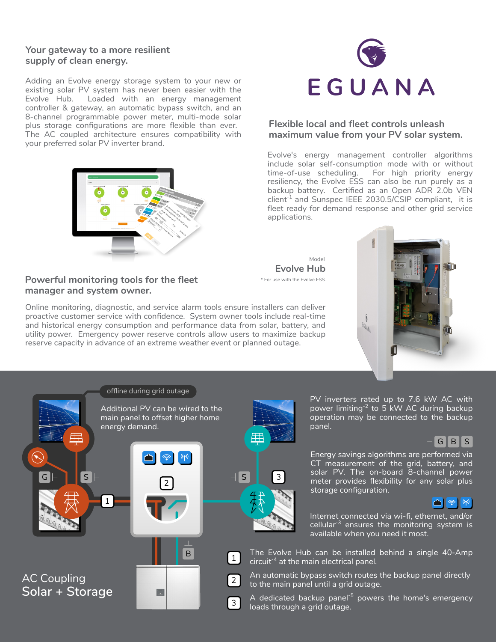## **Your gateway to a more resilient supply of clean energy.**

Adding an Evolve energy storage system to your new or existing solar PV system has never been easier with the Evolve Hub. Loaded with an energy management controller & gateway, an automatic bypass switch, and an 8-channel programmable power meter, multi-mode solar plus storage configurations are more flexible than ever. The AC coupled architecture ensures compatibility with your preferred solar PV inverter brand.



## **Powerful monitoring tools for the fleet** \* For use with the Evolve ESS. **manager and system owner.**

Online monitoring, diagnostic, and service alarm tools ensure installers can deliver proactive customer service with confidence. System owner tools include real-time and historical energy consumption and performance data from solar, battery, and utility power. Emergency power reserve controls allow users to maximize backup reserve capacity in advance of an extreme weather event or planned outage.



## **Flexible local and fleet controls unleash maximum value from your PV solar system.**

Evolve's energy management controller algorithms include solar self-consumption mode with or without time-of-use scheduling. For high priority energy resiliency, the Evolve ESS can also be run purely as a backup battery. Certified as an Open ADR 2.0b VEN  $client<sup>-1</sup>$  and Sunspec IEEE 2030.5/CSIP compliant, it is fleet ready for demand response and other grid service applications.

**Evolve Hub** Model

3

 $\n *F*$ 





PV inverters rated up to 7.6 kW AC with power limiting<sup>-2</sup> to 5 kW AC during backup operation may be connected to the backup panel.

## $\overline{\overline{\mathsf{G}}}\mathsf{G}\mathsf{B}\mathsf{S}$

Energy savings algorithms are performed via CT measurement of the grid, battery, and solar PV. The on-board 8-channel power meter provides flexibility for any solar plus storage configuration.



Internet connected via wi-fi, ethernet, and/or cellular<sup>-3</sup> ensures the monitoring system is available when you need it most.

The Evolve Hub can be installed behind a single 40-Amp circuit-4 at the main electrical panel.

An automatic bypass switch routes the backup panel directly 2 The main panel until a grid outage.

A dedicated backup panel<sup>-5</sup> powers the home's emergency loads through a grid outage.